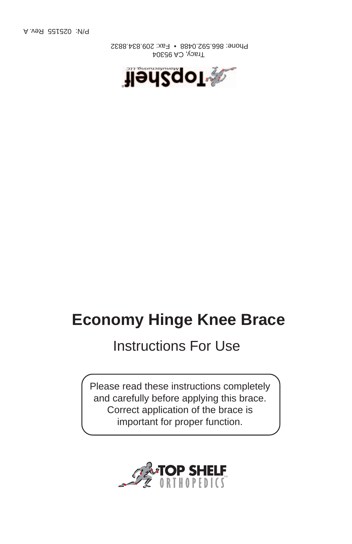P/N: 025155 Rev. A

 Tracy, CA 95304 Phone: 866.592.0488 • Fax: 209.834.8832



# **Economy Hinge Knee Brace**

## Instructions For Use

Please read these instructions completely and carefully before applying this brace. Correct application of the brace is important for proper function.